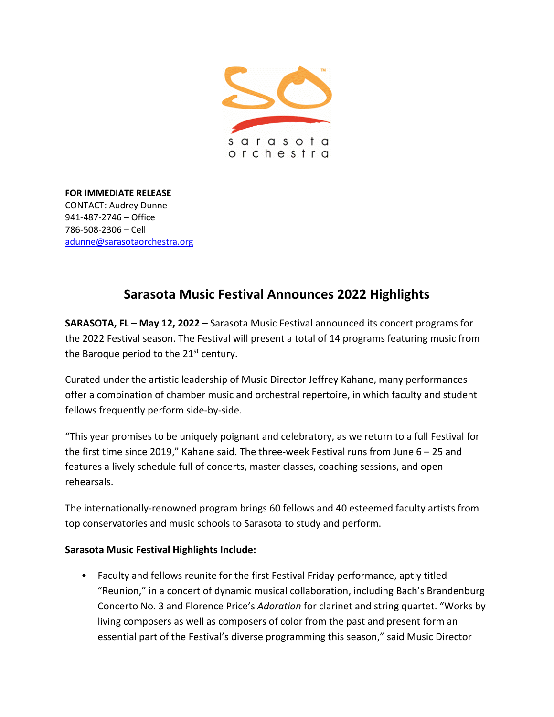

**FOR IMMEDIATE RELEASE** CONTACT: Audrey Dunne 941-487-2746 – Office 786-508-2306 – Cell [adunne@sarasotaorchestra.org](mailto:adunne@sarasotaorchestra.org)

## **Sarasota Music Festival Announces 2022 Highlights**

**SARASOTA, FL – May 12, 2022 –** Sarasota Music Festival announced its concert programs for the 2022 Festival season. The Festival will present a total of 14 programs featuring music from the Baroque period to the  $21<sup>st</sup>$  century.

Curated under the artistic leadership of Music Director Jeffrey Kahane, many performances offer a combination of chamber music and orchestral repertoire, in which faculty and student fellows frequently perform side-by-side.

"This year promises to be uniquely poignant and celebratory, as we return to a full Festival for the first time since 2019," Kahane said. The three-week Festival runs from June 6 – 25 and features a lively schedule full of concerts, master classes, coaching sessions, and open rehearsals.

The internationally-renowned program brings 60 fellows and 40 esteemed faculty artists from top conservatories and music schools to Sarasota to study and perform.

## **Sarasota Music Festival Highlights Include:**

• Faculty and fellows reunite for the first Festival Friday performance, aptly titled "Reunion," in a concert of dynamic musical collaboration, including Bach's Brandenburg Concerto No. 3 and Florence Price's *Adoration* for clarinet and string quartet. "Works by living composers as well as composers of color from the past and present form an essential part of the Festival's diverse programming this season," said Music Director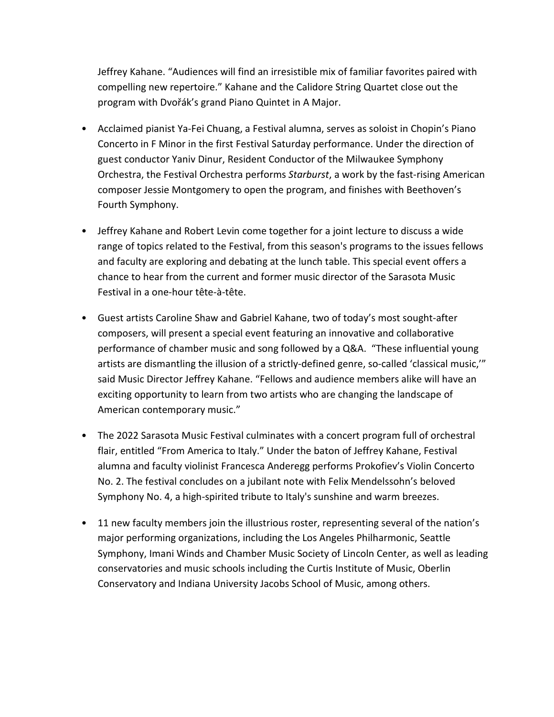Jeffrey Kahane. "Audiences will find an irresistible mix of familiar favorites paired with compelling new repertoire." Kahane and the Calidore String Quartet close out the program with Dvořák's grand Piano Quintet in A Major.

- Acclaimed pianist Ya-Fei Chuang, a Festival alumna, serves as soloist in Chopin's Piano Concerto in F Minor in the first Festival Saturday performance. Under the direction of guest conductor Yaniv Dinur, Resident Conductor of the Milwaukee Symphony Orchestra, the Festival Orchestra performs *Starburst*, a work by the fast-rising American composer Jessie Montgomery to open the program, and finishes with Beethoven's Fourth Symphony.
- Jeffrey Kahane and Robert Levin come together for a joint lecture to discuss a wide range of topics related to the Festival, from this season's programs to the issues fellows and faculty are exploring and debating at the lunch table. This special event offers a chance to hear from the current and former music director of the Sarasota Music Festival in a one-hour tête-à-tête.
- Guest artists Caroline Shaw and Gabriel Kahane, two of today's most sought-after composers, will present a special event featuring an innovative and collaborative performance of chamber music and song followed by a Q&A. "These influential young artists are dismantling the illusion of a strictly-defined genre, so-called 'classical music,'" said Music Director Jeffrey Kahane. "Fellows and audience members alike will have an exciting opportunity to learn from two artists who are changing the landscape of American contemporary music."
- The 2022 Sarasota Music Festival culminates with a concert program full of orchestral flair, entitled "From America to Italy." Under the baton of Jeffrey Kahane, Festival alumna and faculty violinist Francesca Anderegg performs Prokofiev's Violin Concerto No. 2. The festival concludes on a jubilant note with Felix Mendelssohn's beloved Symphony No. 4, a high-spirited tribute to Italy's sunshine and warm breezes.
- 11 new faculty members join the illustrious roster, representing several of the nation's major performing organizations, including the Los Angeles Philharmonic, Seattle Symphony, Imani Winds and Chamber Music Society of Lincoln Center, as well as leading conservatories and music schools including the Curtis Institute of Music, Oberlin Conservatory and Indiana University Jacobs School of Music, among others.